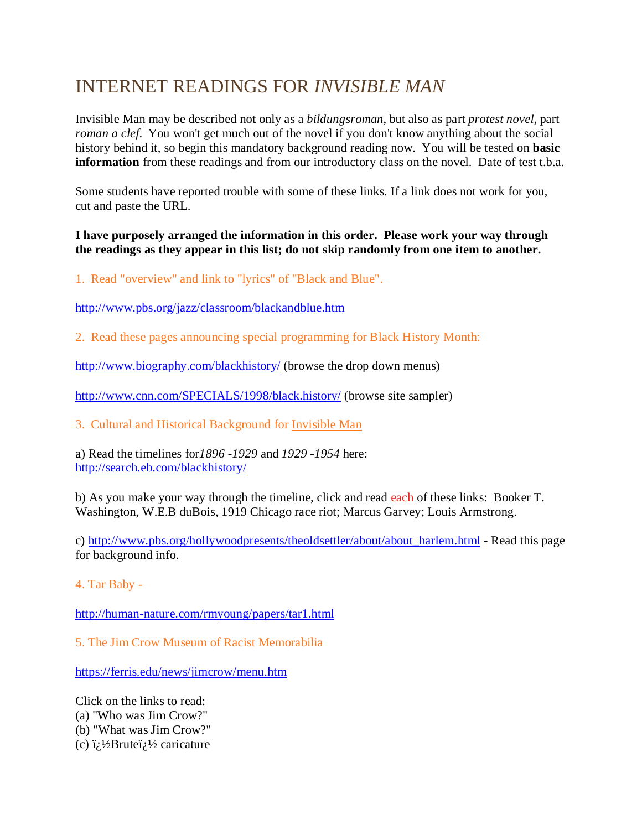## INTERNET READINGS FOR *INVISIBLE MAN*

Invisible Man may be described not only as a *bildungsroman*, but also as part *protest novel*, part *roman a clef*. You won't get much out of the novel if you don't know anything about the social history behind it, so begin this mandatory background reading now. You will be tested on **basic information** from these readings and from our introductory class on the novel. Date of test t.b.a.

Some students have reported trouble with some of these links. If a link does not work for you, cut and paste the URL.

## **I have purposely arranged the information in this order. Please work your way through the readings as they appear in this list; do not skip randomly from one item to another.**

1. Read "overview" and link to "lyrics" of "Black and Blue".

<http://www.pbs.org/jazz/classroom/blackandblue.htm>

2. Read these pages announcing special programming for Black History Month:

<http://www.biography.com/blackhistory/> (browse the drop down menus)

<http://www.cnn.com/SPECIALS/1998/black.history/> (browse site sampler)

3. Cultural and Historical Background for Invisible Man

a) Read the timelines for*1896 -1929* and *1929 -1954* here: <http://search.eb.com/blackhistory/>

b) As you make your way through the timeline, click and read each of these links: Booker T. Washington, W.E.B duBois, 1919 Chicago race riot; Marcus Garvey; Louis Armstrong.

c) [http://www.pbs.org/hollywoodpresents/theoldsettler/about/about\\_harlem.html](http://www.pbs.org/hollywoodpresents/theoldsettler/about/about_harlem.html) - Read this page for background info.

4. Tar Baby -

<http://human-nature.com/rmyoung/papers/tar1.html>

5. The Jim Crow Museum of Racist Memorabilia

<https://ferris.edu/news/jimcrow/menu.htm>

Click on the links to read: (a) "Who was Jim Crow?" (b) "What was Jim Crow?" (c)  $\ddot{i}$  /2Brute $\ddot{i}$  /2 caricature